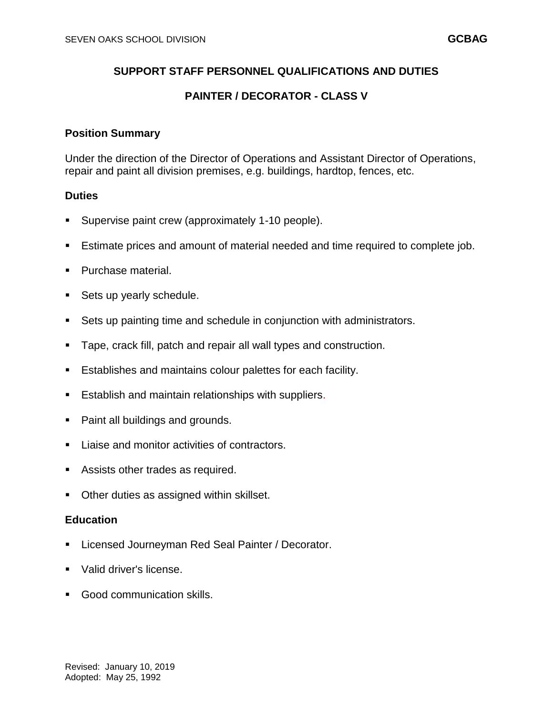# **SUPPORT STAFF PERSONNEL QUALIFICATIONS AND DUTIES**

# **PAINTER / DECORATOR - CLASS V**

## **Position Summary**

Under the direction of the Director of Operations and Assistant Director of Operations, repair and paint all division premises, e.g. buildings, hardtop, fences, etc.

#### **Duties**

- Supervise paint crew (approximately 1-10 people).
- Estimate prices and amount of material needed and time required to complete job.
- Purchase material.
- Sets up yearly schedule.
- Sets up painting time and schedule in conjunction with administrators.
- Tape, crack fill, patch and repair all wall types and construction.
- Establishes and maintains colour palettes for each facility.
- **Establish and maintain relationships with suppliers.**
- **Paint all buildings and grounds.**
- **Liaise and monitor activities of contractors.**
- Assists other trades as required.
- **Other duties as assigned within skillset.**

# **Education**

- Licensed Journeyman Red Seal Painter / Decorator.
- Valid driver's license.
- **Good communication skills.**